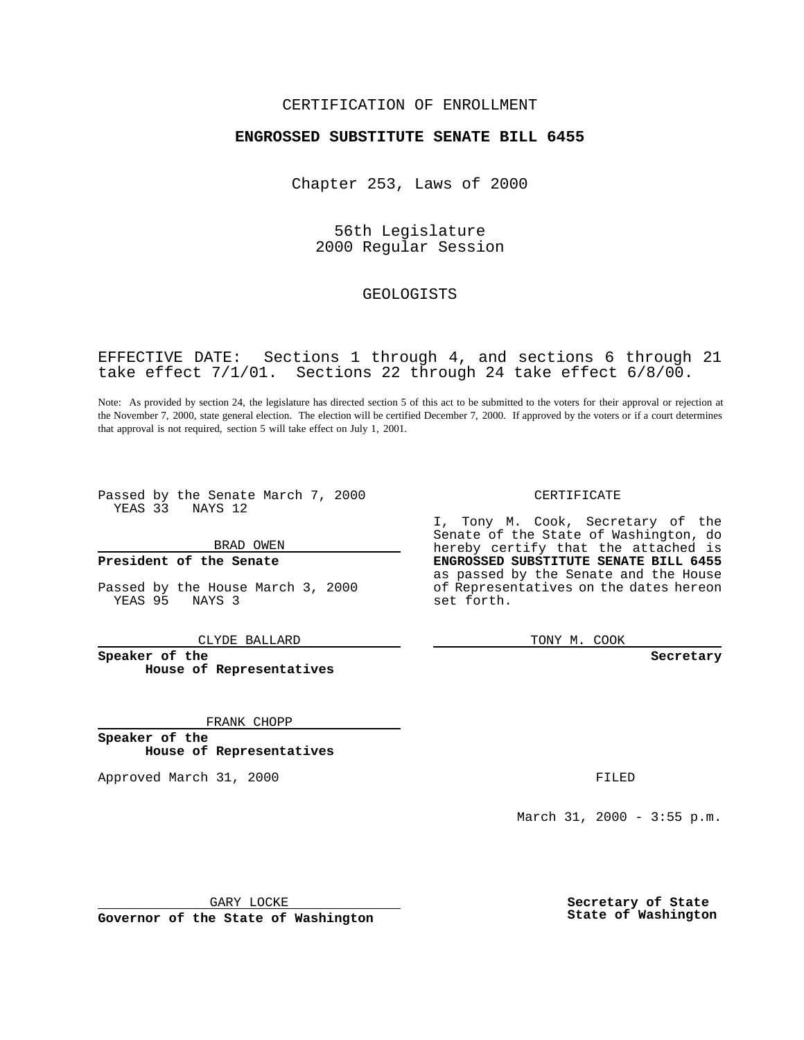### CERTIFICATION OF ENROLLMENT

## **ENGROSSED SUBSTITUTE SENATE BILL 6455**

Chapter 253, Laws of 2000

56th Legislature 2000 Regular Session

## GEOLOGISTS

EFFECTIVE DATE: Sections 1 through 4, and sections 6 through 21 take effect 7/1/01. Sections 22 through 24 take effect 6/8/00.

Note: As provided by section 24, the legislature has directed section 5 of this act to be submitted to the voters for their approval or rejection at the November 7, 2000, state general election. The election will be certified December 7, 2000. If approved by the voters or if a court determines that approval is not required, section 5 will take effect on July 1, 2001.

Passed by the Senate March 7, 2000 YEAS 33 NAYS 12

BRAD OWEN

**President of the Senate**

Passed by the House March 3, 2000<br>
YEAS 95 NAYS 3 NAYS 3

CLYDE BALLARD

**Speaker of the House of Representatives**

FRANK CHOPP

**Speaker of the House of Representatives**

Approved March 31, 2000 **FILED** 

CERTIFICATE

I, Tony M. Cook, Secretary of the Senate of the State of Washington, do hereby certify that the attached is **ENGROSSED SUBSTITUTE SENATE BILL 6455** as passed by the Senate and the House of Representatives on the dates hereon set forth.

TONY M. COOK

**Secretary**

March 31, 2000 - 3:55 p.m.

GARY LOCKE

**Governor of the State of Washington**

**Secretary of State State of Washington**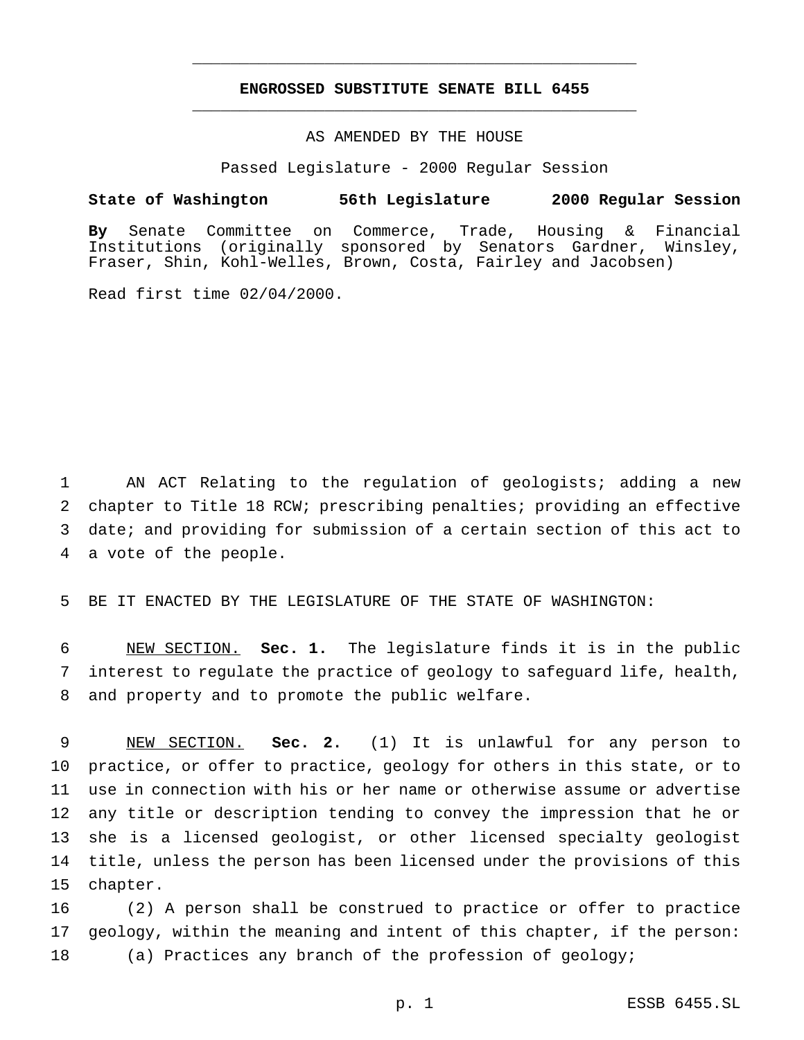# **ENGROSSED SUBSTITUTE SENATE BILL 6455** \_\_\_\_\_\_\_\_\_\_\_\_\_\_\_\_\_\_\_\_\_\_\_\_\_\_\_\_\_\_\_\_\_\_\_\_\_\_\_\_\_\_\_\_\_\_\_

\_\_\_\_\_\_\_\_\_\_\_\_\_\_\_\_\_\_\_\_\_\_\_\_\_\_\_\_\_\_\_\_\_\_\_\_\_\_\_\_\_\_\_\_\_\_\_

### AS AMENDED BY THE HOUSE

Passed Legislature - 2000 Regular Session

#### **State of Washington 56th Legislature 2000 Regular Session**

**By** Senate Committee on Commerce, Trade, Housing & Financial Institutions (originally sponsored by Senators Gardner, Winsley, Fraser, Shin, Kohl-Welles, Brown, Costa, Fairley and Jacobsen)

Read first time 02/04/2000.

 AN ACT Relating to the regulation of geologists; adding a new chapter to Title 18 RCW; prescribing penalties; providing an effective date; and providing for submission of a certain section of this act to a vote of the people.

5 BE IT ENACTED BY THE LEGISLATURE OF THE STATE OF WASHINGTON:

6 NEW SECTION. **Sec. 1.** The legislature finds it is in the public 7 interest to regulate the practice of geology to safeguard life, health, 8 and property and to promote the public welfare.

 NEW SECTION. **Sec. 2.** (1) It is unlawful for any person to practice, or offer to practice, geology for others in this state, or to use in connection with his or her name or otherwise assume or advertise any title or description tending to convey the impression that he or she is a licensed geologist, or other licensed specialty geologist title, unless the person has been licensed under the provisions of this 15 chapter.

16 (2) A person shall be construed to practice or offer to practice 17 geology, within the meaning and intent of this chapter, if the person: 18 (a) Practices any branch of the profession of geology;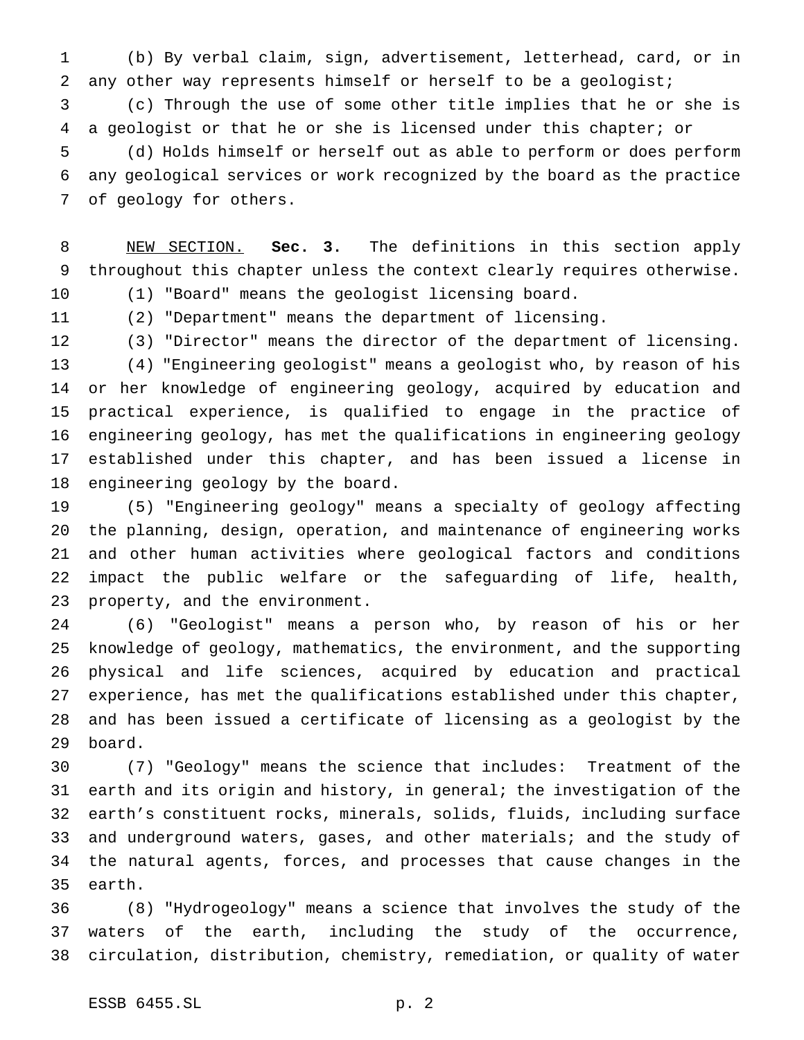(b) By verbal claim, sign, advertisement, letterhead, card, or in any other way represents himself or herself to be a geologist; (c) Through the use of some other title implies that he or she is a geologist or that he or she is licensed under this chapter; or (d) Holds himself or herself out as able to perform or does perform any geological services or work recognized by the board as the practice of geology for others.

 NEW SECTION. **Sec. 3.** The definitions in this section apply throughout this chapter unless the context clearly requires otherwise.

(1) "Board" means the geologist licensing board.

(2) "Department" means the department of licensing.

 (3) "Director" means the director of the department of licensing. (4) "Engineering geologist" means a geologist who, by reason of his or her knowledge of engineering geology, acquired by education and practical experience, is qualified to engage in the practice of engineering geology, has met the qualifications in engineering geology established under this chapter, and has been issued a license in engineering geology by the board.

 (5) "Engineering geology" means a specialty of geology affecting the planning, design, operation, and maintenance of engineering works and other human activities where geological factors and conditions impact the public welfare or the safeguarding of life, health, property, and the environment.

 (6) "Geologist" means a person who, by reason of his or her knowledge of geology, mathematics, the environment, and the supporting physical and life sciences, acquired by education and practical experience, has met the qualifications established under this chapter, and has been issued a certificate of licensing as a geologist by the board.

 (7) "Geology" means the science that includes: Treatment of the earth and its origin and history, in general; the investigation of the earth's constituent rocks, minerals, solids, fluids, including surface and underground waters, gases, and other materials; and the study of the natural agents, forces, and processes that cause changes in the earth.

 (8) "Hydrogeology" means a science that involves the study of the waters of the earth, including the study of the occurrence, circulation, distribution, chemistry, remediation, or quality of water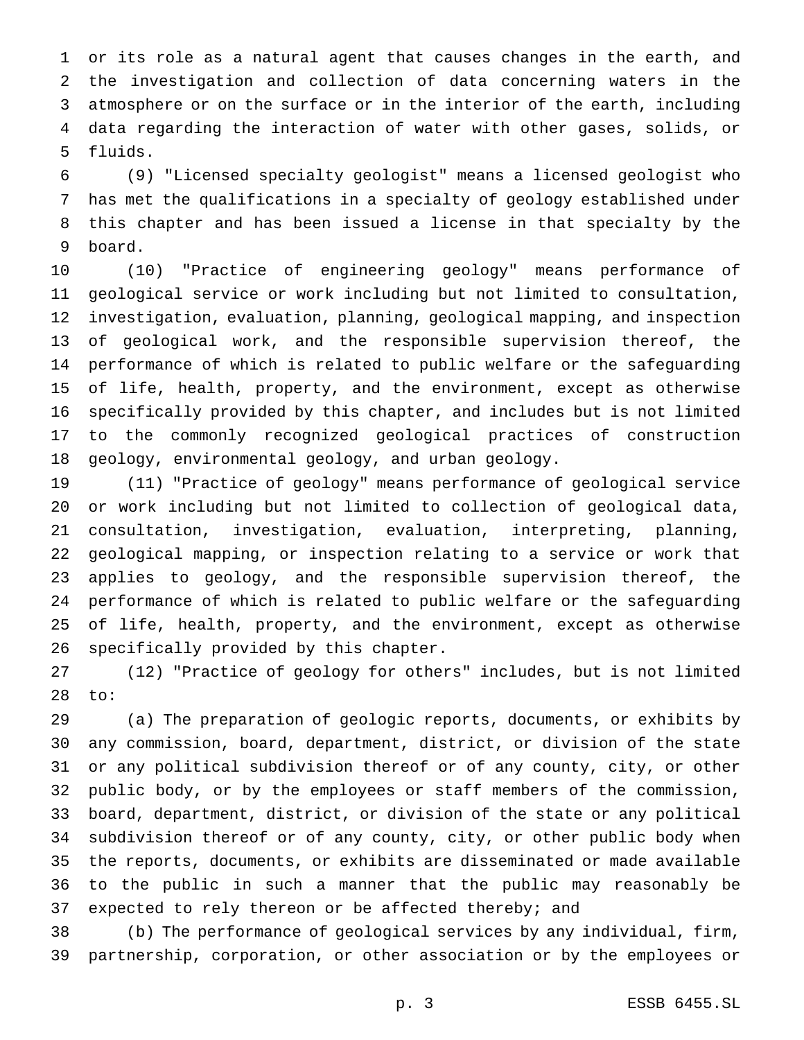or its role as a natural agent that causes changes in the earth, and the investigation and collection of data concerning waters in the atmosphere or on the surface or in the interior of the earth, including data regarding the interaction of water with other gases, solids, or fluids.

 (9) "Licensed specialty geologist" means a licensed geologist who has met the qualifications in a specialty of geology established under this chapter and has been issued a license in that specialty by the board.

 (10) "Practice of engineering geology" means performance of geological service or work including but not limited to consultation, investigation, evaluation, planning, geological mapping, and inspection of geological work, and the responsible supervision thereof, the performance of which is related to public welfare or the safeguarding of life, health, property, and the environment, except as otherwise specifically provided by this chapter, and includes but is not limited to the commonly recognized geological practices of construction geology, environmental geology, and urban geology.

 (11) "Practice of geology" means performance of geological service or work including but not limited to collection of geological data, consultation, investigation, evaluation, interpreting, planning, geological mapping, or inspection relating to a service or work that applies to geology, and the responsible supervision thereof, the performance of which is related to public welfare or the safeguarding of life, health, property, and the environment, except as otherwise specifically provided by this chapter.

 (12) "Practice of geology for others" includes, but is not limited to:

 (a) The preparation of geologic reports, documents, or exhibits by any commission, board, department, district, or division of the state or any political subdivision thereof or of any county, city, or other public body, or by the employees or staff members of the commission, board, department, district, or division of the state or any political subdivision thereof or of any county, city, or other public body when the reports, documents, or exhibits are disseminated or made available to the public in such a manner that the public may reasonably be 37 expected to rely thereon or be affected thereby; and

 (b) The performance of geological services by any individual, firm, partnership, corporation, or other association or by the employees or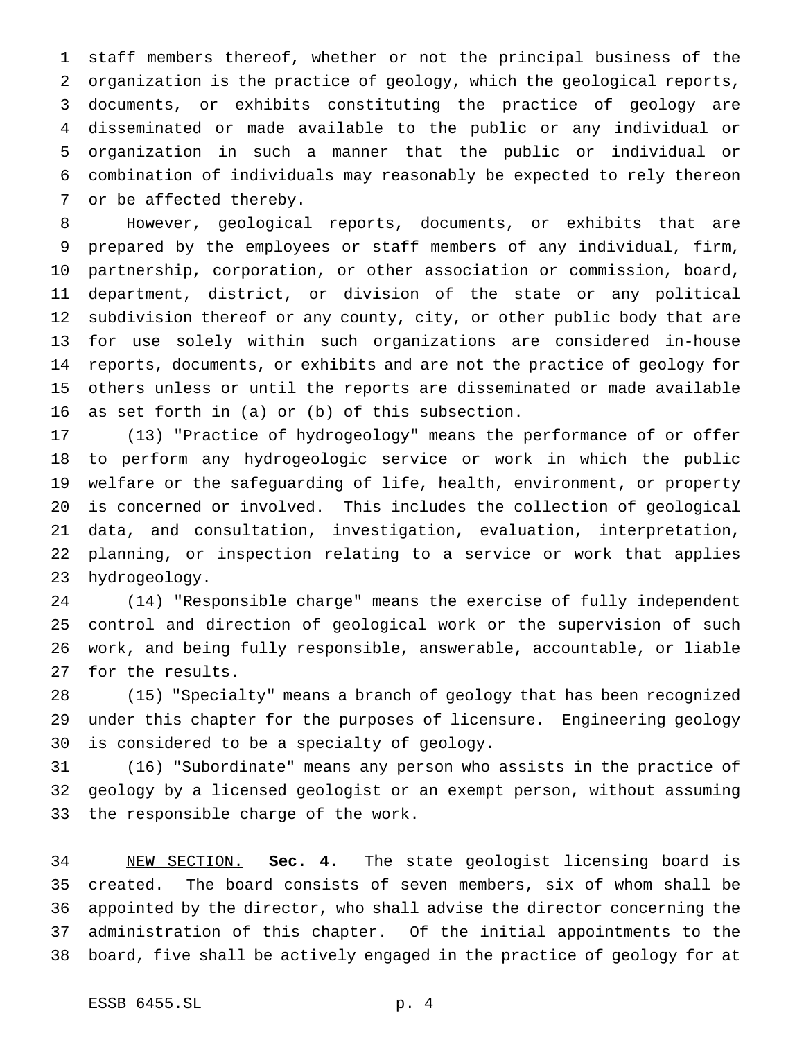staff members thereof, whether or not the principal business of the organization is the practice of geology, which the geological reports, documents, or exhibits constituting the practice of geology are disseminated or made available to the public or any individual or organization in such a manner that the public or individual or combination of individuals may reasonably be expected to rely thereon or be affected thereby.

 However, geological reports, documents, or exhibits that are prepared by the employees or staff members of any individual, firm, partnership, corporation, or other association or commission, board, department, district, or division of the state or any political subdivision thereof or any county, city, or other public body that are for use solely within such organizations are considered in-house reports, documents, or exhibits and are not the practice of geology for others unless or until the reports are disseminated or made available as set forth in (a) or (b) of this subsection.

 (13) "Practice of hydrogeology" means the performance of or offer to perform any hydrogeologic service or work in which the public welfare or the safeguarding of life, health, environment, or property is concerned or involved. This includes the collection of geological data, and consultation, investigation, evaluation, interpretation, planning, or inspection relating to a service or work that applies hydrogeology.

 (14) "Responsible charge" means the exercise of fully independent control and direction of geological work or the supervision of such work, and being fully responsible, answerable, accountable, or liable for the results.

 (15) "Specialty" means a branch of geology that has been recognized under this chapter for the purposes of licensure. Engineering geology is considered to be a specialty of geology.

 (16) "Subordinate" means any person who assists in the practice of geology by a licensed geologist or an exempt person, without assuming the responsible charge of the work.

 NEW SECTION. **Sec. 4.** The state geologist licensing board is created. The board consists of seven members, six of whom shall be appointed by the director, who shall advise the director concerning the administration of this chapter. Of the initial appointments to the board, five shall be actively engaged in the practice of geology for at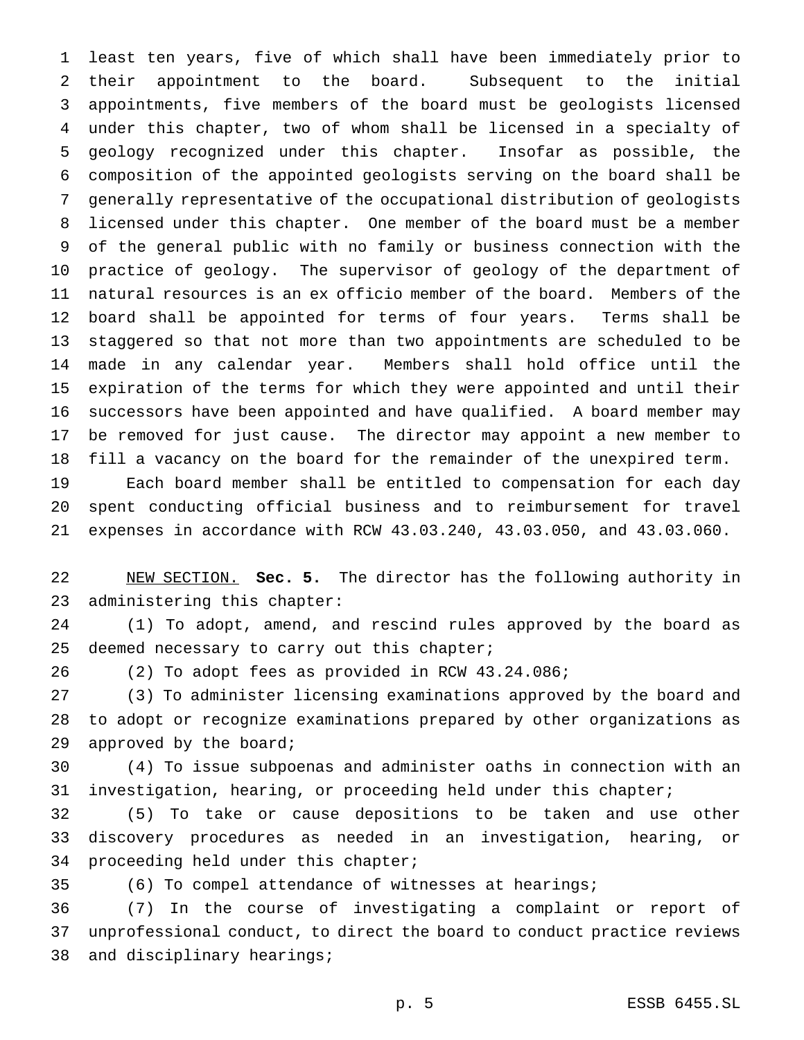least ten years, five of which shall have been immediately prior to their appointment to the board. Subsequent to the initial appointments, five members of the board must be geologists licensed under this chapter, two of whom shall be licensed in a specialty of geology recognized under this chapter. Insofar as possible, the composition of the appointed geologists serving on the board shall be generally representative of the occupational distribution of geologists licensed under this chapter. One member of the board must be a member of the general public with no family or business connection with the practice of geology. The supervisor of geology of the department of natural resources is an ex officio member of the board. Members of the board shall be appointed for terms of four years. Terms shall be staggered so that not more than two appointments are scheduled to be made in any calendar year. Members shall hold office until the expiration of the terms for which they were appointed and until their successors have been appointed and have qualified. A board member may be removed for just cause. The director may appoint a new member to fill a vacancy on the board for the remainder of the unexpired term. Each board member shall be entitled to compensation for each day

 spent conducting official business and to reimbursement for travel expenses in accordance with RCW 43.03.240, 43.03.050, and 43.03.060.

 NEW SECTION. **Sec. 5.** The director has the following authority in administering this chapter:

 (1) To adopt, amend, and rescind rules approved by the board as 25 deemed necessary to carry out this chapter;

(2) To adopt fees as provided in RCW 43.24.086;

 (3) To administer licensing examinations approved by the board and to adopt or recognize examinations prepared by other organizations as approved by the board;

 (4) To issue subpoenas and administer oaths in connection with an investigation, hearing, or proceeding held under this chapter;

 (5) To take or cause depositions to be taken and use other discovery procedures as needed in an investigation, hearing, or proceeding held under this chapter;

(6) To compel attendance of witnesses at hearings;

 (7) In the course of investigating a complaint or report of unprofessional conduct, to direct the board to conduct practice reviews and disciplinary hearings;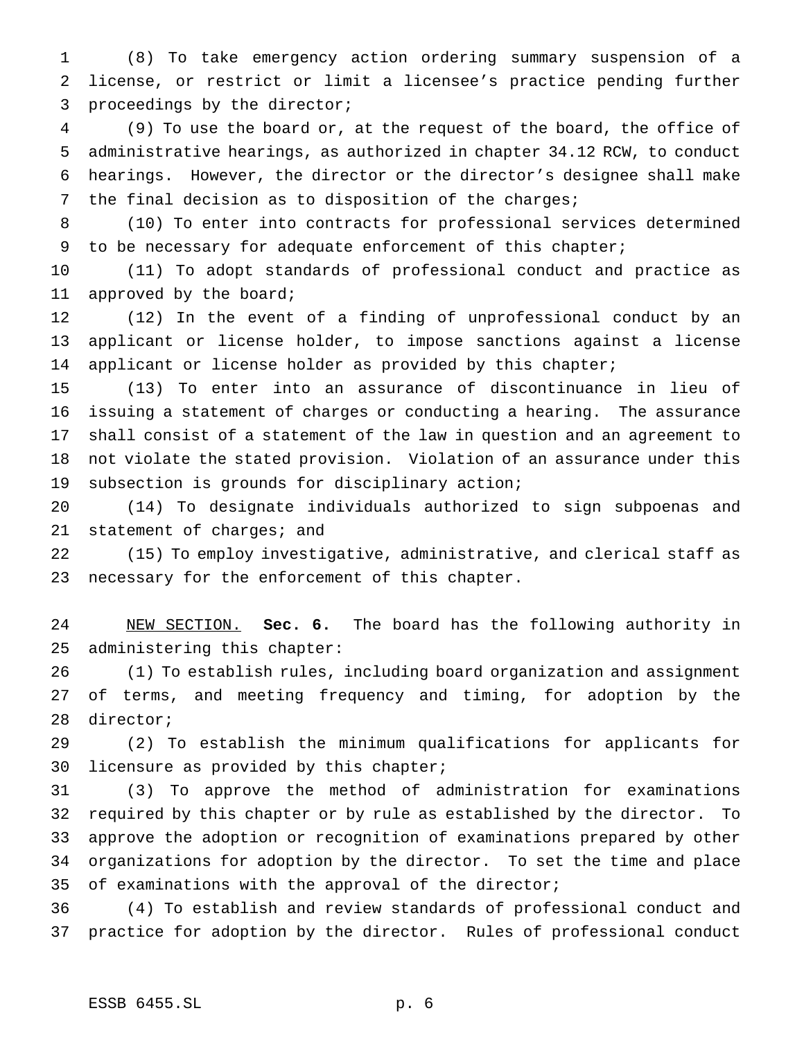(8) To take emergency action ordering summary suspension of a license, or restrict or limit a licensee's practice pending further proceedings by the director;

 (9) To use the board or, at the request of the board, the office of administrative hearings, as authorized in chapter 34.12 RCW, to conduct hearings. However, the director or the director's designee shall make the final decision as to disposition of the charges;

 (10) To enter into contracts for professional services determined 9 to be necessary for adequate enforcement of this chapter;

 (11) To adopt standards of professional conduct and practice as 11 approved by the board;

 (12) In the event of a finding of unprofessional conduct by an applicant or license holder, to impose sanctions against a license 14 applicant or license holder as provided by this chapter;

 (13) To enter into an assurance of discontinuance in lieu of issuing a statement of charges or conducting a hearing. The assurance shall consist of a statement of the law in question and an agreement to not violate the stated provision. Violation of an assurance under this subsection is grounds for disciplinary action;

 (14) To designate individuals authorized to sign subpoenas and statement of charges; and

 (15) To employ investigative, administrative, and clerical staff as necessary for the enforcement of this chapter.

 NEW SECTION. **Sec. 6.** The board has the following authority in administering this chapter:

 (1) To establish rules, including board organization and assignment of terms, and meeting frequency and timing, for adoption by the director;

 (2) To establish the minimum qualifications for applicants for licensure as provided by this chapter;

 (3) To approve the method of administration for examinations required by this chapter or by rule as established by the director. To approve the adoption or recognition of examinations prepared by other organizations for adoption by the director. To set the time and place of examinations with the approval of the director;

 (4) To establish and review standards of professional conduct and practice for adoption by the director. Rules of professional conduct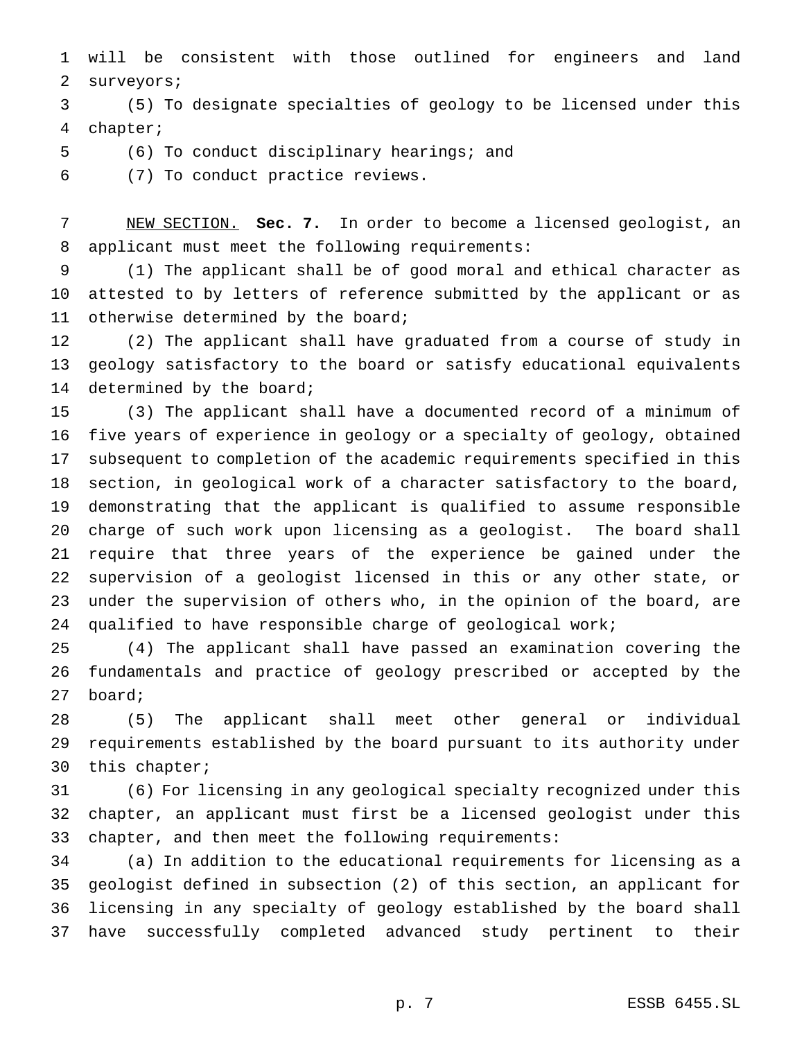will be consistent with those outlined for engineers and land surveyors;

 (5) To designate specialties of geology to be licensed under this chapter;

(6) To conduct disciplinary hearings; and

(7) To conduct practice reviews.

 NEW SECTION. **Sec. 7.** In order to become a licensed geologist, an applicant must meet the following requirements:

 (1) The applicant shall be of good moral and ethical character as attested to by letters of reference submitted by the applicant or as 11 otherwise determined by the board;

 (2) The applicant shall have graduated from a course of study in geology satisfactory to the board or satisfy educational equivalents determined by the board;

 (3) The applicant shall have a documented record of a minimum of five years of experience in geology or a specialty of geology, obtained subsequent to completion of the academic requirements specified in this section, in geological work of a character satisfactory to the board, demonstrating that the applicant is qualified to assume responsible charge of such work upon licensing as a geologist. The board shall require that three years of the experience be gained under the supervision of a geologist licensed in this or any other state, or under the supervision of others who, in the opinion of the board, are qualified to have responsible charge of geological work;

 (4) The applicant shall have passed an examination covering the fundamentals and practice of geology prescribed or accepted by the board;

 (5) The applicant shall meet other general or individual requirements established by the board pursuant to its authority under this chapter;

 (6) For licensing in any geological specialty recognized under this chapter, an applicant must first be a licensed geologist under this chapter, and then meet the following requirements:

 (a) In addition to the educational requirements for licensing as a geologist defined in subsection (2) of this section, an applicant for licensing in any specialty of geology established by the board shall have successfully completed advanced study pertinent to their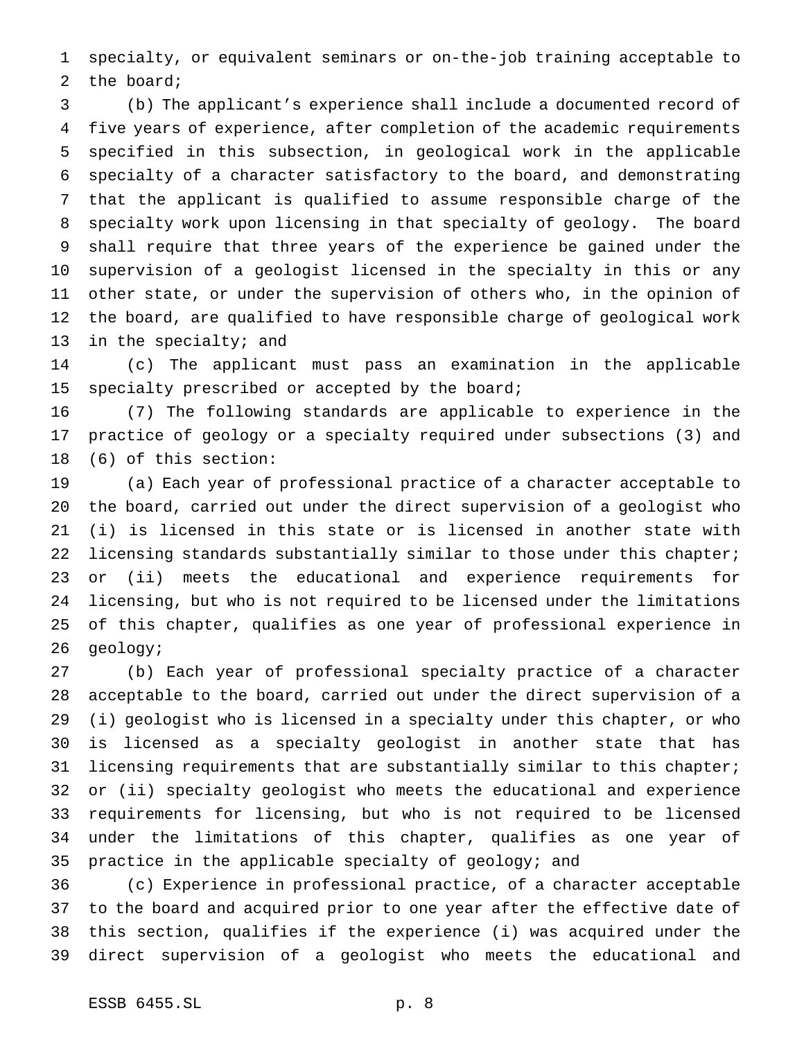specialty, or equivalent seminars or on-the-job training acceptable to the board;

 (b) The applicant's experience shall include a documented record of five years of experience, after completion of the academic requirements specified in this subsection, in geological work in the applicable specialty of a character satisfactory to the board, and demonstrating that the applicant is qualified to assume responsible charge of the specialty work upon licensing in that specialty of geology. The board shall require that three years of the experience be gained under the supervision of a geologist licensed in the specialty in this or any other state, or under the supervision of others who, in the opinion of the board, are qualified to have responsible charge of geological work 13 in the specialty; and

 (c) The applicant must pass an examination in the applicable specialty prescribed or accepted by the board;

 (7) The following standards are applicable to experience in the practice of geology or a specialty required under subsections (3) and (6) of this section:

 (a) Each year of professional practice of a character acceptable to the board, carried out under the direct supervision of a geologist who (i) is licensed in this state or is licensed in another state with 22 licensing standards substantially similar to those under this chapter; or (ii) meets the educational and experience requirements for licensing, but who is not required to be licensed under the limitations of this chapter, qualifies as one year of professional experience in geology;

 (b) Each year of professional specialty practice of a character acceptable to the board, carried out under the direct supervision of a (i) geologist who is licensed in a specialty under this chapter, or who is licensed as a specialty geologist in another state that has licensing requirements that are substantially similar to this chapter; or (ii) specialty geologist who meets the educational and experience requirements for licensing, but who is not required to be licensed under the limitations of this chapter, qualifies as one year of practice in the applicable specialty of geology; and

 (c) Experience in professional practice, of a character acceptable to the board and acquired prior to one year after the effective date of this section, qualifies if the experience (i) was acquired under the direct supervision of a geologist who meets the educational and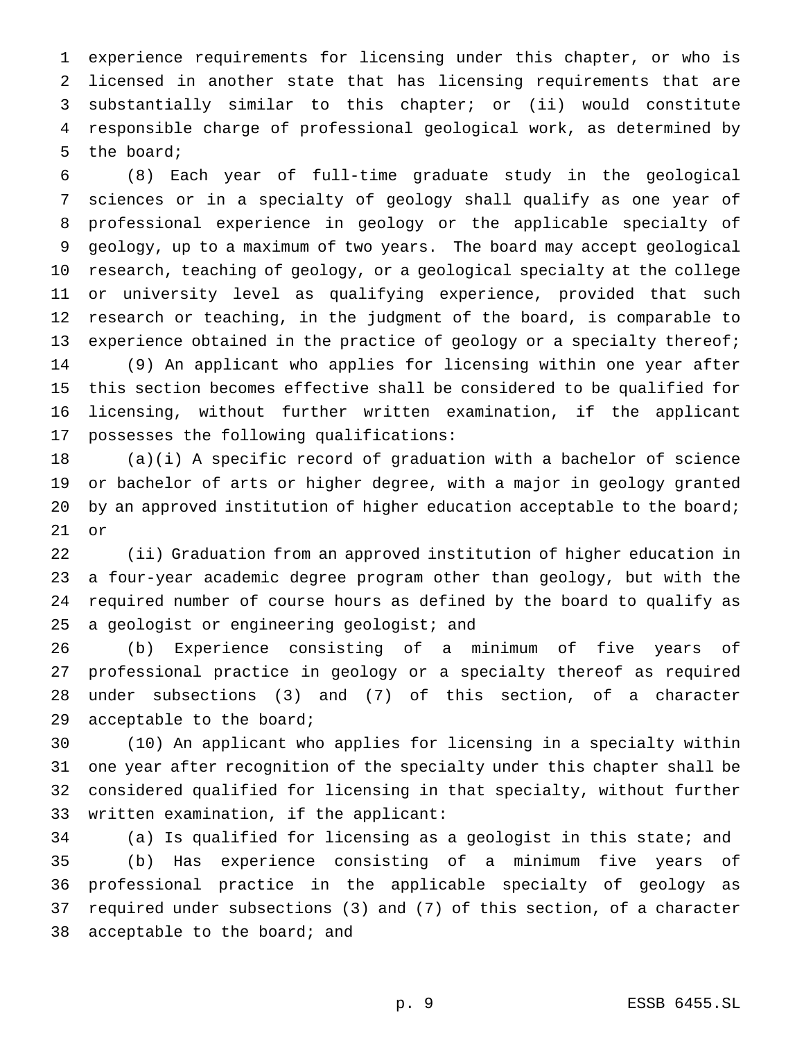experience requirements for licensing under this chapter, or who is licensed in another state that has licensing requirements that are substantially similar to this chapter; or (ii) would constitute responsible charge of professional geological work, as determined by the board;

 (8) Each year of full-time graduate study in the geological sciences or in a specialty of geology shall qualify as one year of professional experience in geology or the applicable specialty of geology, up to a maximum of two years. The board may accept geological research, teaching of geology, or a geological specialty at the college or university level as qualifying experience, provided that such research or teaching, in the judgment of the board, is comparable to 13 experience obtained in the practice of geology or a specialty thereof; (9) An applicant who applies for licensing within one year after this section becomes effective shall be considered to be qualified for licensing, without further written examination, if the applicant possesses the following qualifications:

 (a)(i) A specific record of graduation with a bachelor of science or bachelor of arts or higher degree, with a major in geology granted 20 by an approved institution of higher education acceptable to the board; or

 (ii) Graduation from an approved institution of higher education in a four-year academic degree program other than geology, but with the required number of course hours as defined by the board to qualify as 25 a geologist or engineering geologist; and

 (b) Experience consisting of a minimum of five years of professional practice in geology or a specialty thereof as required under subsections (3) and (7) of this section, of a character acceptable to the board;

 (10) An applicant who applies for licensing in a specialty within one year after recognition of the specialty under this chapter shall be considered qualified for licensing in that specialty, without further written examination, if the applicant:

 (a) Is qualified for licensing as a geologist in this state; and (b) Has experience consisting of a minimum five years of professional practice in the applicable specialty of geology as required under subsections (3) and (7) of this section, of a character acceptable to the board; and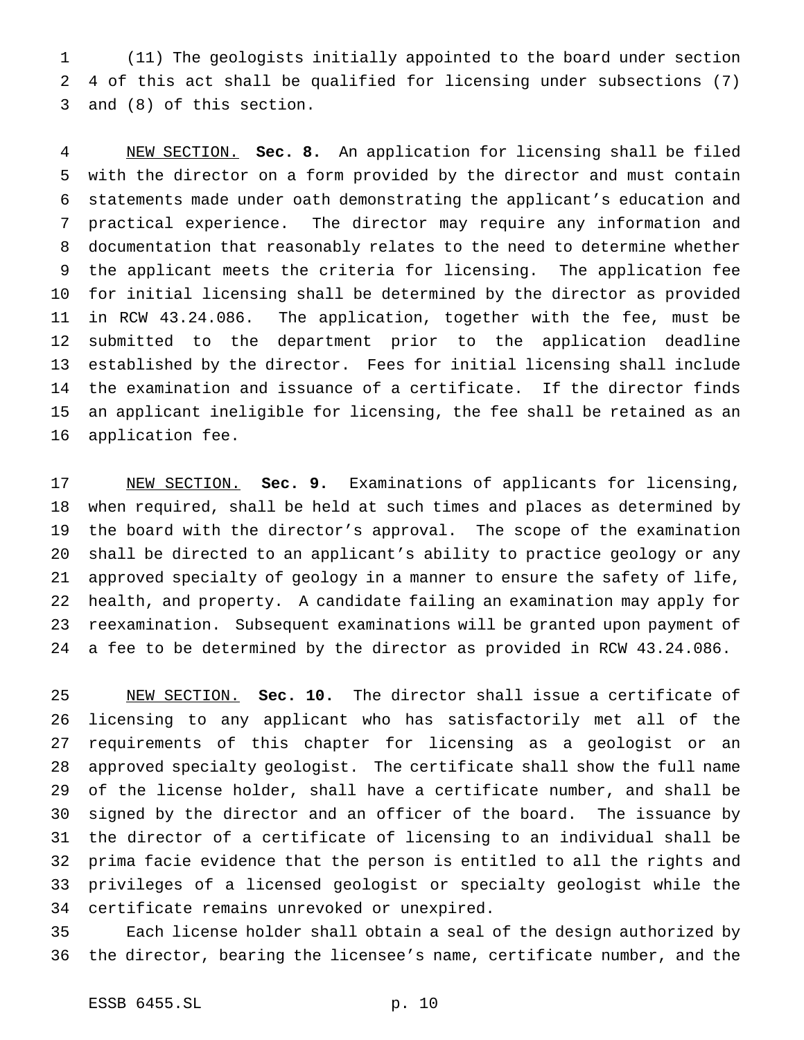(11) The geologists initially appointed to the board under section 4 of this act shall be qualified for licensing under subsections (7) and (8) of this section.

 NEW SECTION. **Sec. 8.** An application for licensing shall be filed with the director on a form provided by the director and must contain statements made under oath demonstrating the applicant's education and practical experience. The director may require any information and documentation that reasonably relates to the need to determine whether the applicant meets the criteria for licensing. The application fee for initial licensing shall be determined by the director as provided in RCW 43.24.086. The application, together with the fee, must be submitted to the department prior to the application deadline established by the director. Fees for initial licensing shall include the examination and issuance of a certificate. If the director finds an applicant ineligible for licensing, the fee shall be retained as an application fee.

 NEW SECTION. **Sec. 9.** Examinations of applicants for licensing, when required, shall be held at such times and places as determined by the board with the director's approval. The scope of the examination shall be directed to an applicant's ability to practice geology or any approved specialty of geology in a manner to ensure the safety of life, health, and property. A candidate failing an examination may apply for reexamination. Subsequent examinations will be granted upon payment of a fee to be determined by the director as provided in RCW 43.24.086.

 NEW SECTION. **Sec. 10.** The director shall issue a certificate of licensing to any applicant who has satisfactorily met all of the requirements of this chapter for licensing as a geologist or an approved specialty geologist. The certificate shall show the full name of the license holder, shall have a certificate number, and shall be signed by the director and an officer of the board. The issuance by the director of a certificate of licensing to an individual shall be prima facie evidence that the person is entitled to all the rights and privileges of a licensed geologist or specialty geologist while the certificate remains unrevoked or unexpired.

 Each license holder shall obtain a seal of the design authorized by the director, bearing the licensee's name, certificate number, and the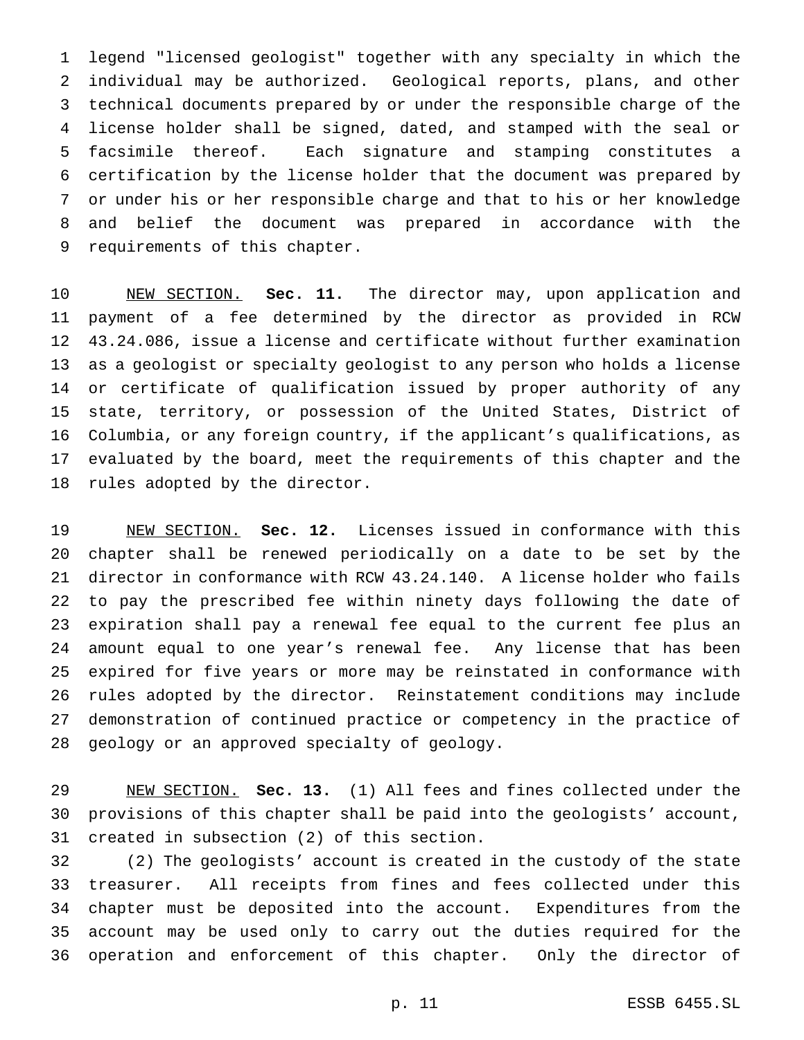legend "licensed geologist" together with any specialty in which the individual may be authorized. Geological reports, plans, and other technical documents prepared by or under the responsible charge of the license holder shall be signed, dated, and stamped with the seal or facsimile thereof. Each signature and stamping constitutes a certification by the license holder that the document was prepared by or under his or her responsible charge and that to his or her knowledge and belief the document was prepared in accordance with the requirements of this chapter.

 NEW SECTION. **Sec. 11.** The director may, upon application and payment of a fee determined by the director as provided in RCW 43.24.086, issue a license and certificate without further examination as a geologist or specialty geologist to any person who holds a license or certificate of qualification issued by proper authority of any state, territory, or possession of the United States, District of Columbia, or any foreign country, if the applicant's qualifications, as evaluated by the board, meet the requirements of this chapter and the rules adopted by the director.

 NEW SECTION. **Sec. 12.** Licenses issued in conformance with this chapter shall be renewed periodically on a date to be set by the director in conformance with RCW 43.24.140. A license holder who fails to pay the prescribed fee within ninety days following the date of expiration shall pay a renewal fee equal to the current fee plus an amount equal to one year's renewal fee. Any license that has been expired for five years or more may be reinstated in conformance with rules adopted by the director. Reinstatement conditions may include demonstration of continued practice or competency in the practice of geology or an approved specialty of geology.

 NEW SECTION. **Sec. 13.** (1) All fees and fines collected under the provisions of this chapter shall be paid into the geologists' account, created in subsection (2) of this section.

 (2) The geologists' account is created in the custody of the state treasurer. All receipts from fines and fees collected under this chapter must be deposited into the account. Expenditures from the account may be used only to carry out the duties required for the operation and enforcement of this chapter. Only the director of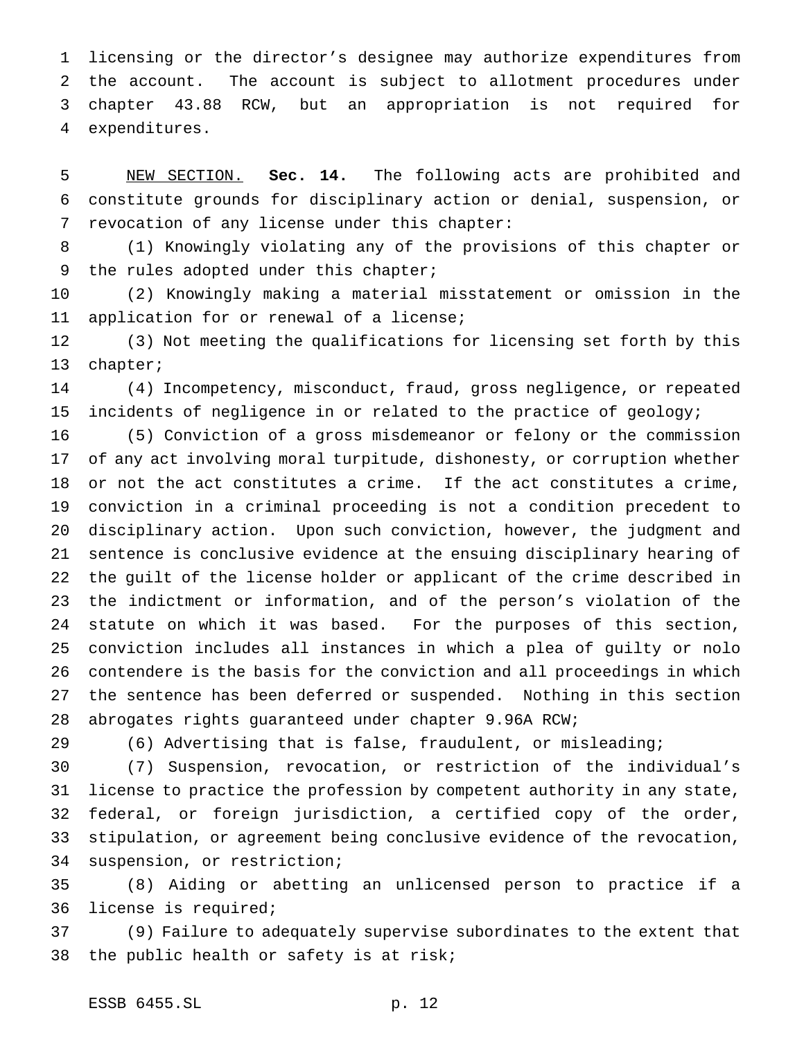licensing or the director's designee may authorize expenditures from the account. The account is subject to allotment procedures under chapter 43.88 RCW, but an appropriation is not required for expenditures.

 NEW SECTION. **Sec. 14.** The following acts are prohibited and constitute grounds for disciplinary action or denial, suspension, or revocation of any license under this chapter:

 (1) Knowingly violating any of the provisions of this chapter or 9 the rules adopted under this chapter;

 (2) Knowingly making a material misstatement or omission in the application for or renewal of a license;

 (3) Not meeting the qualifications for licensing set forth by this chapter;

 (4) Incompetency, misconduct, fraud, gross negligence, or repeated incidents of negligence in or related to the practice of geology;

 (5) Conviction of a gross misdemeanor or felony or the commission of any act involving moral turpitude, dishonesty, or corruption whether or not the act constitutes a crime. If the act constitutes a crime, conviction in a criminal proceeding is not a condition precedent to disciplinary action. Upon such conviction, however, the judgment and sentence is conclusive evidence at the ensuing disciplinary hearing of the guilt of the license holder or applicant of the crime described in the indictment or information, and of the person's violation of the statute on which it was based. For the purposes of this section, conviction includes all instances in which a plea of guilty or nolo contendere is the basis for the conviction and all proceedings in which the sentence has been deferred or suspended. Nothing in this section abrogates rights guaranteed under chapter 9.96A RCW;

(6) Advertising that is false, fraudulent, or misleading;

 (7) Suspension, revocation, or restriction of the individual's license to practice the profession by competent authority in any state, federal, or foreign jurisdiction, a certified copy of the order, stipulation, or agreement being conclusive evidence of the revocation, suspension, or restriction;

 (8) Aiding or abetting an unlicensed person to practice if a license is required;

 (9) Failure to adequately supervise subordinates to the extent that the public health or safety is at risk;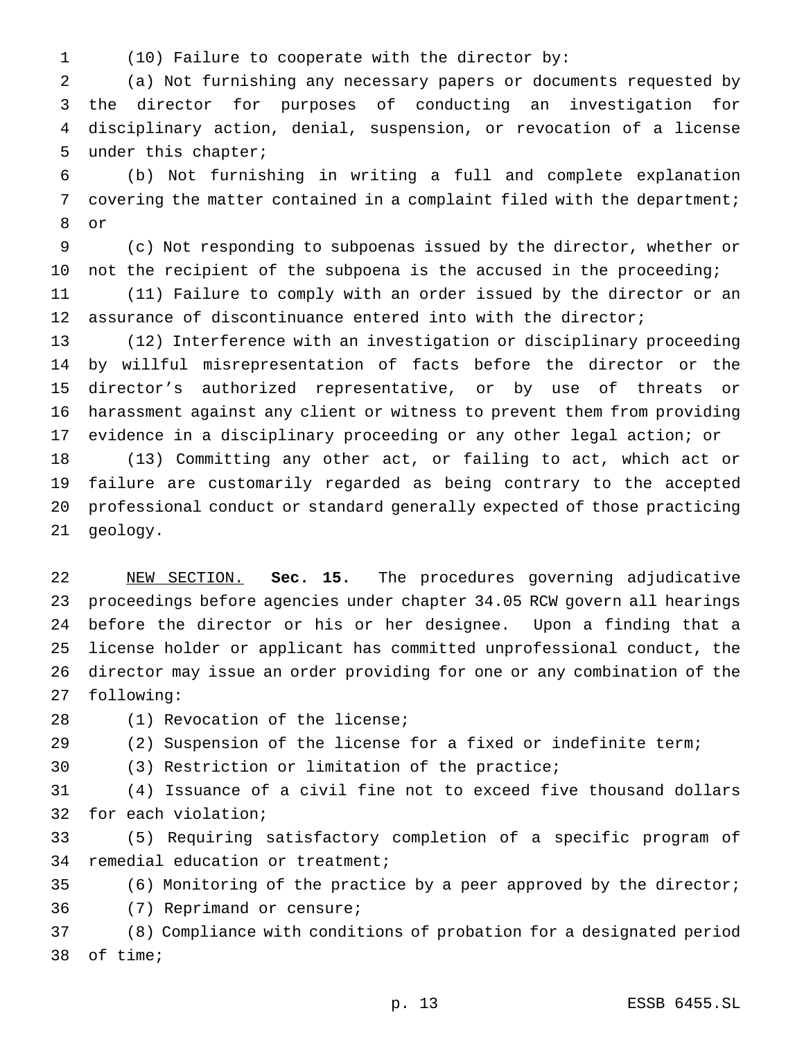(10) Failure to cooperate with the director by:

 (a) Not furnishing any necessary papers or documents requested by the director for purposes of conducting an investigation for disciplinary action, denial, suspension, or revocation of a license under this chapter;

 (b) Not furnishing in writing a full and complete explanation covering the matter contained in a complaint filed with the department; or

 (c) Not responding to subpoenas issued by the director, whether or not the recipient of the subpoena is the accused in the proceeding;

 (11) Failure to comply with an order issued by the director or an 12 assurance of discontinuance entered into with the director;

 (12) Interference with an investigation or disciplinary proceeding by willful misrepresentation of facts before the director or the director's authorized representative, or by use of threats or harassment against any client or witness to prevent them from providing evidence in a disciplinary proceeding or any other legal action; or

 (13) Committing any other act, or failing to act, which act or failure are customarily regarded as being contrary to the accepted professional conduct or standard generally expected of those practicing geology.

 NEW SECTION. **Sec. 15.** The procedures governing adjudicative proceedings before agencies under chapter 34.05 RCW govern all hearings before the director or his or her designee. Upon a finding that a license holder or applicant has committed unprofessional conduct, the director may issue an order providing for one or any combination of the following:

28 (1) Revocation of the license;

(2) Suspension of the license for a fixed or indefinite term;

(3) Restriction or limitation of the practice;

 (4) Issuance of a civil fine not to exceed five thousand dollars for each violation;

 (5) Requiring satisfactory completion of a specific program of remedial education or treatment;

(6) Monitoring of the practice by a peer approved by the director;

(7) Reprimand or censure;

 (8) Compliance with conditions of probation for a designated period of time;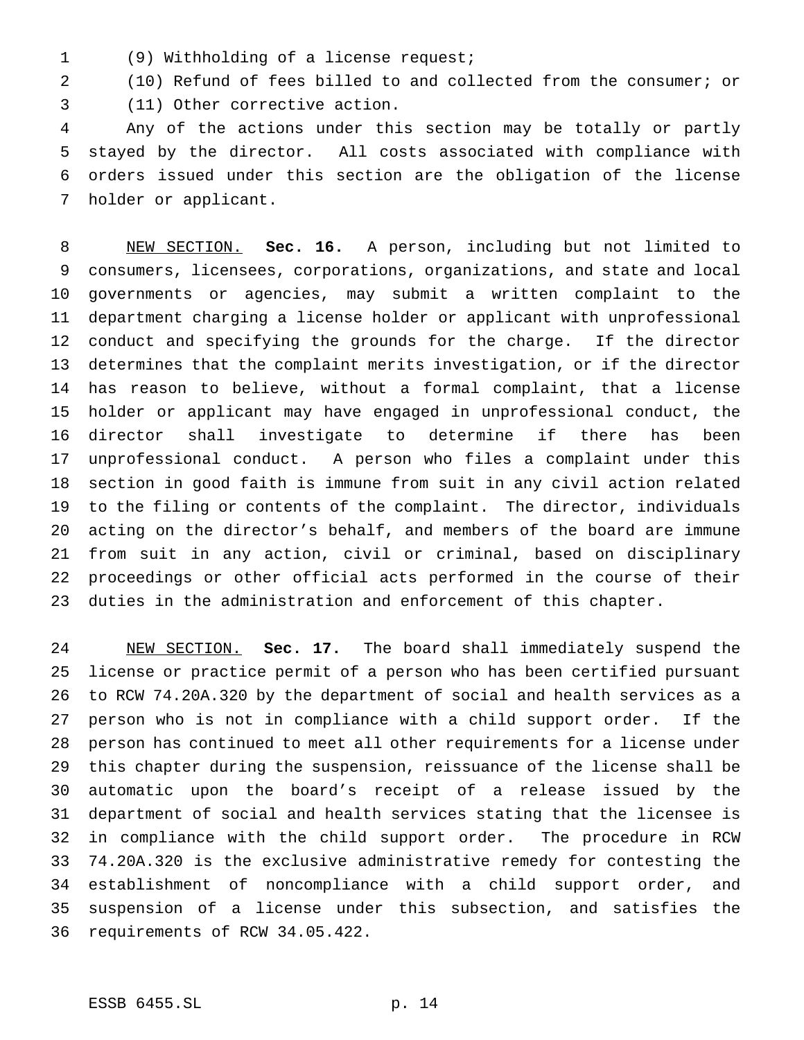(9) Withholding of a license request;

(10) Refund of fees billed to and collected from the consumer; or

(11) Other corrective action.

 Any of the actions under this section may be totally or partly stayed by the director. All costs associated with compliance with orders issued under this section are the obligation of the license holder or applicant.

 NEW SECTION. **Sec. 16.** A person, including but not limited to consumers, licensees, corporations, organizations, and state and local governments or agencies, may submit a written complaint to the department charging a license holder or applicant with unprofessional conduct and specifying the grounds for the charge. If the director determines that the complaint merits investigation, or if the director has reason to believe, without a formal complaint, that a license holder or applicant may have engaged in unprofessional conduct, the director shall investigate to determine if there has been unprofessional conduct. A person who files a complaint under this section in good faith is immune from suit in any civil action related to the filing or contents of the complaint. The director, individuals acting on the director's behalf, and members of the board are immune from suit in any action, civil or criminal, based on disciplinary proceedings or other official acts performed in the course of their duties in the administration and enforcement of this chapter.

 NEW SECTION. **Sec. 17.** The board shall immediately suspend the license or practice permit of a person who has been certified pursuant to RCW 74.20A.320 by the department of social and health services as a person who is not in compliance with a child support order. If the person has continued to meet all other requirements for a license under this chapter during the suspension, reissuance of the license shall be automatic upon the board's receipt of a release issued by the department of social and health services stating that the licensee is in compliance with the child support order. The procedure in RCW 74.20A.320 is the exclusive administrative remedy for contesting the establishment of noncompliance with a child support order, and suspension of a license under this subsection, and satisfies the requirements of RCW 34.05.422.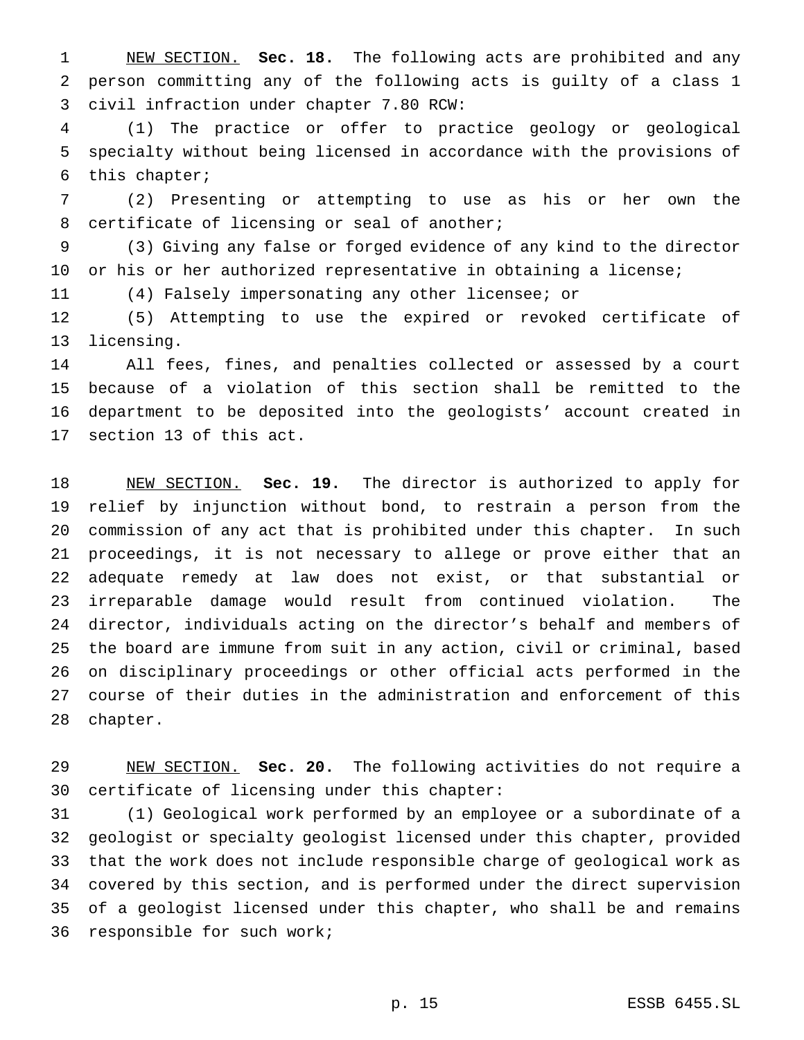NEW SECTION. **Sec. 18.** The following acts are prohibited and any person committing any of the following acts is guilty of a class 1 civil infraction under chapter 7.80 RCW:

 (1) The practice or offer to practice geology or geological specialty without being licensed in accordance with the provisions of this chapter;

 (2) Presenting or attempting to use as his or her own the certificate of licensing or seal of another;

 (3) Giving any false or forged evidence of any kind to the director or his or her authorized representative in obtaining a license;

(4) Falsely impersonating any other licensee; or

 (5) Attempting to use the expired or revoked certificate of licensing.

 All fees, fines, and penalties collected or assessed by a court because of a violation of this section shall be remitted to the department to be deposited into the geologists' account created in section 13 of this act.

 NEW SECTION. **Sec. 19.** The director is authorized to apply for relief by injunction without bond, to restrain a person from the commission of any act that is prohibited under this chapter. In such proceedings, it is not necessary to allege or prove either that an adequate remedy at law does not exist, or that substantial or irreparable damage would result from continued violation. The director, individuals acting on the director's behalf and members of the board are immune from suit in any action, civil or criminal, based on disciplinary proceedings or other official acts performed in the course of their duties in the administration and enforcement of this chapter.

 NEW SECTION. **Sec. 20.** The following activities do not require a certificate of licensing under this chapter:

 (1) Geological work performed by an employee or a subordinate of a geologist or specialty geologist licensed under this chapter, provided that the work does not include responsible charge of geological work as covered by this section, and is performed under the direct supervision of a geologist licensed under this chapter, who shall be and remains responsible for such work;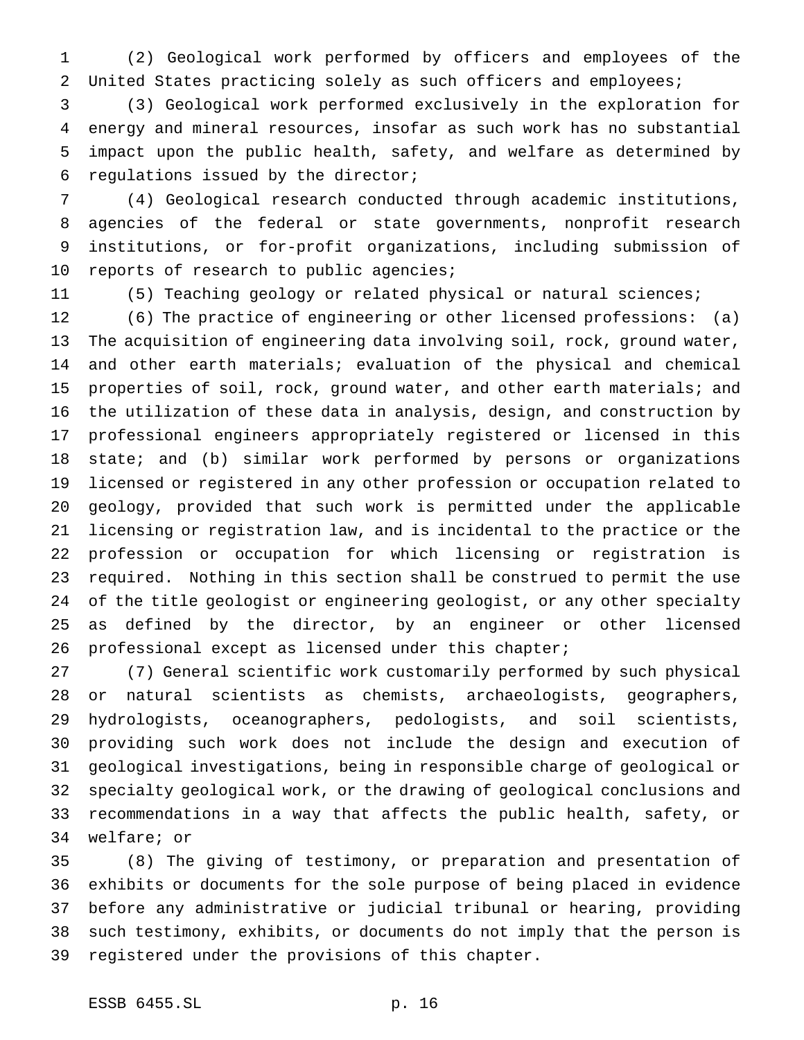(2) Geological work performed by officers and employees of the United States practicing solely as such officers and employees;

 (3) Geological work performed exclusively in the exploration for energy and mineral resources, insofar as such work has no substantial impact upon the public health, safety, and welfare as determined by regulations issued by the director;

 (4) Geological research conducted through academic institutions, agencies of the federal or state governments, nonprofit research institutions, or for-profit organizations, including submission of 10 reports of research to public agencies;

(5) Teaching geology or related physical or natural sciences;

 (6) The practice of engineering or other licensed professions: (a) The acquisition of engineering data involving soil, rock, ground water, and other earth materials; evaluation of the physical and chemical properties of soil, rock, ground water, and other earth materials; and the utilization of these data in analysis, design, and construction by professional engineers appropriately registered or licensed in this state; and (b) similar work performed by persons or organizations licensed or registered in any other profession or occupation related to geology, provided that such work is permitted under the applicable licensing or registration law, and is incidental to the practice or the profession or occupation for which licensing or registration is required. Nothing in this section shall be construed to permit the use of the title geologist or engineering geologist, or any other specialty as defined by the director, by an engineer or other licensed professional except as licensed under this chapter;

 (7) General scientific work customarily performed by such physical or natural scientists as chemists, archaeologists, geographers, hydrologists, oceanographers, pedologists, and soil scientists, providing such work does not include the design and execution of geological investigations, being in responsible charge of geological or specialty geological work, or the drawing of geological conclusions and recommendations in a way that affects the public health, safety, or welfare; or

 (8) The giving of testimony, or preparation and presentation of exhibits or documents for the sole purpose of being placed in evidence before any administrative or judicial tribunal or hearing, providing such testimony, exhibits, or documents do not imply that the person is registered under the provisions of this chapter.